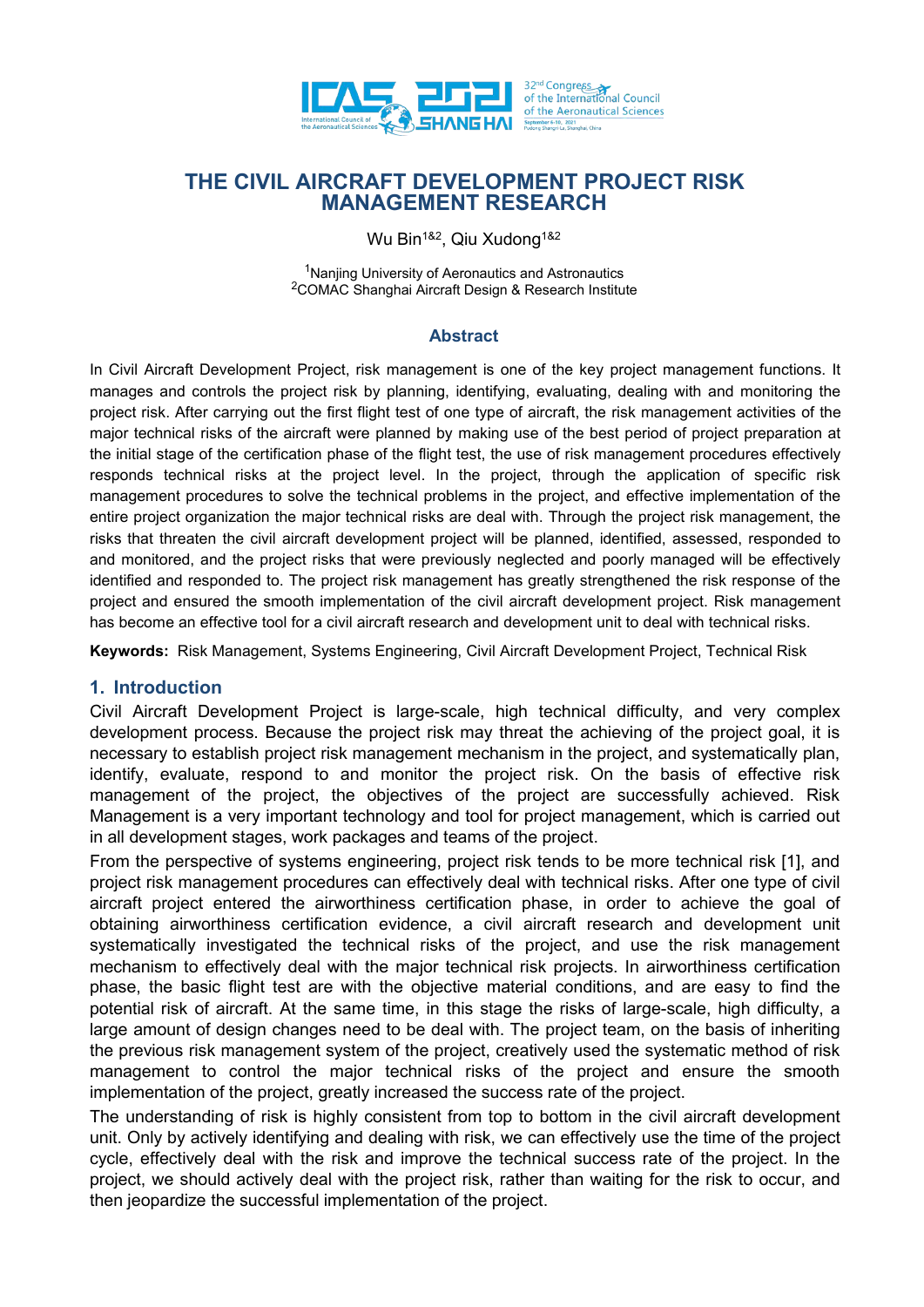

Wu Bin<sup>1&2</sup>, Qiu Xudong<sup>1&2</sup>

<sup>1</sup>Nanjing University of Aeronautics and Astronautics <sup>2</sup>COMAC Shanghai Aircraft Design & Research Institute

#### **Abstract**

In Civil Aircraft Development Project, risk management is one of the key project management functions. It manages and controls the project risk by planning, identifying, evaluating, dealing with and monitoring the project risk. After carrying out the first flight test of one type of aircraft, the risk management activities of the major technical risks of the aircraft were planned by making use of the best period of project preparation at the initial stage of the certification phase of the flight test, the use of risk management procedures effectively responds technical risks at the project level. In the project, through the application of specific risk management procedures to solve the technical problems in the project, and effective implementation of the entire project organization the major technical risks are deal with. Through the project risk management, the risks that threaten the civil aircraft development project will be planned, identified, assessed, responded to and monitored, and the project risks that were previously neglected and poorly managed will be effectively identified and responded to. The project risk management has greatly strengthened the risk response of the project and ensured the smooth implementation of the civil aircraft development project. Risk management has become an effective tool for a civil aircraft research and development unit to deal with technical risks.

**Keywords:** Risk Management, Systems Engineering, Civil Aircraft Development Project, Technical Risk

# **1. Introduction**

Civil Aircraft Development Project is large-scale, high technical difficulty, and very complex development process. Because the project risk may threat the achieving of the project goal, it is necessary to establish project risk management mechanism in the project, and systematically plan, identify, evaluate, respond to and monitor the project risk. On the basis of effective risk management of the project, the objectives of the project are successfully achieved. Risk Management is a very important technology and tool for project management, which is carried out in all development stages, work packages and teams of the project.

From the perspective of systems engineering, project risk tends to be more technical risk [1], and project risk management procedures can effectively deal with technical risks. After one type of civil aircraft project entered the airworthiness certification phase, in order to achieve the goal of obtaining airworthiness certification evidence, a civil aircraft research and development unit systematically investigated the technical risks of the project, and use the risk management mechanism to effectively deal with the major technical risk projects. In airworthiness certification phase, the basic flight test are with the objective material conditions, and are easy to find the potential risk of aircraft. At the same time, in this stage the risks of large-scale, high difficulty, a large amount of design changes need to be deal with. The project team, on the basis of inheriting the previous risk management system of the project, creatively used the systematic method of risk management to control the major technical risks of the project and ensure the smooth implementation of the project, greatly increased the success rate of the project.

The understanding of risk is highly consistent from top to bottom in the civil aircraft development unit. Only by actively identifying and dealing with risk, we can effectively use the time of the project cycle, effectively deal with the risk and improve the technical success rate of the project. In the project, we should actively deal with the project risk, rather than waiting for the risk to occur, and then jeopardize the successful implementation of the project.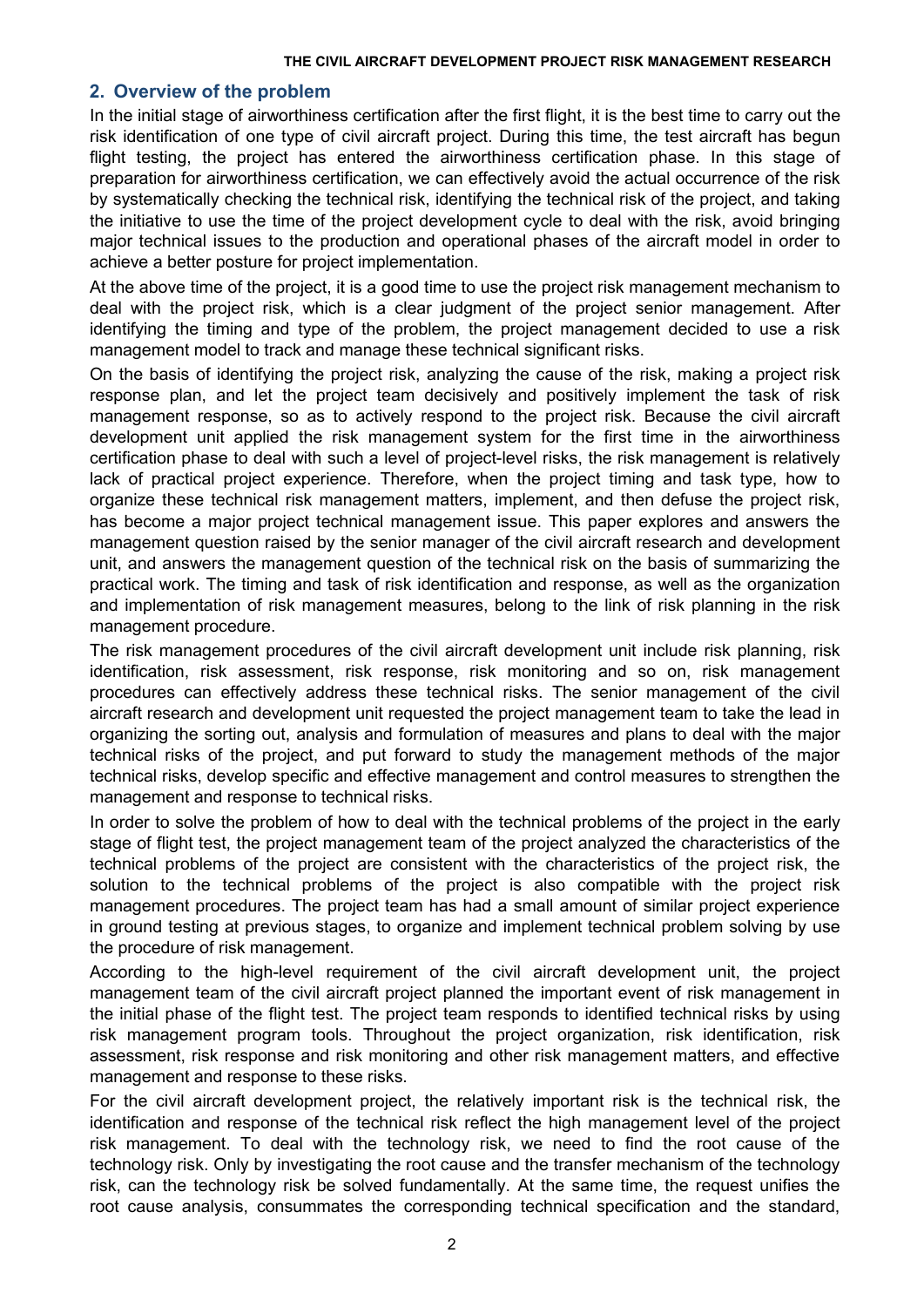# **2. Overview of the problem**

In the initial stage of airworthiness certification after the first flight, it is the best time to carry out the risk identification of one type of civil aircraft project. During this time, the test aircraft has begun flight testing, the project has entered the airworthiness certification phase. In this stage of preparation for airworthiness certification, we can effectively avoid the actual occurrence of the risk by systematically checking the technical risk, identifying the technical risk of the project, and taking the initiative to use the time of the project development cycle to deal with the risk, avoid bringing major technical issues to the production and operational phases of the aircraft model in order to achieve a better posture for project implementation.

At the above time of the project, it is a good time to use the project risk management mechanism to deal with the project risk, which is a clear judgment of the project senior management. After identifying the timing and type of the problem, the project management decided to use a risk management model to track and manage these technical significant risks.

On the basis of identifying the project risk, analyzing the cause of the risk, making a project risk response plan, and let the project team decisively and positively implement the task of risk management response, so as to actively respond to the project risk. Because the civil aircraft development unit applied the risk management system for the first time in the airworthiness certification phase to deal with such a level of project-level risks, the risk management is relatively lack of practical project experience. Therefore, when the project timing and task type, how to organize these technical risk management matters, implement, and then defuse the project risk, has become a major project technical management issue. This paper explores and answers the management question raised by the senior manager of the civil aircraft research and development unit, and answers the management question of the technical risk on the basis of summarizing the practical work. The timing and task of risk identification and response, as well as the organization and implementation of risk management measures, belong to the link of risk planning in the risk management procedure.

The risk management procedures of the civil aircraft development unit include risk planning, risk identification, risk assessment, risk response, risk monitoring and so on, risk management procedures can effectively address these technical risks. The senior management of the civil aircraft research and development unit requested the project management team to take the lead in organizing the sorting out, analysis and formulation of measures and plans to deal with the major technical risks of the project, and put forward to study the management methods of the major technical risks, develop specific and effective management and control measures to strengthen the management and response to technical risks.

In order to solve the problem of how to deal with the technical problems of the project in the early stage of flight test, the project management team of the project analyzed the characteristics of the technical problems of the project are consistent with the characteristics of the project risk, the solution to the technical problems of the project is also compatible with the project risk management procedures. The project team has had a small amount of similar project experience in ground testing at previous stages, to organize and implement technical problem solving by use the procedure of risk management.

According to the high-level requirement of the civil aircraft development unit, the project management team of the civil aircraft project planned the important event of risk management in the initial phase of the flight test. The project team responds to identified technical risks by using risk management program tools. Throughout the project organization, risk identification, risk assessment, risk response and risk monitoring and other risk management matters, and effective management and response to these risks.<br>For the civil aircraft development project, the relatively important risk is the technical risk, the

identification and response of the technical risk reflect the high management level of the project risk management. To deal with the technology risk, we need to find the root cause of the technology risk. Only by investigating the root cause and the transfer mechanism of the technology risk, can the technology risk be solved fundamentally. At the same time, the request unifies the root cause analysis, consummates the corresponding technical specification and the standard,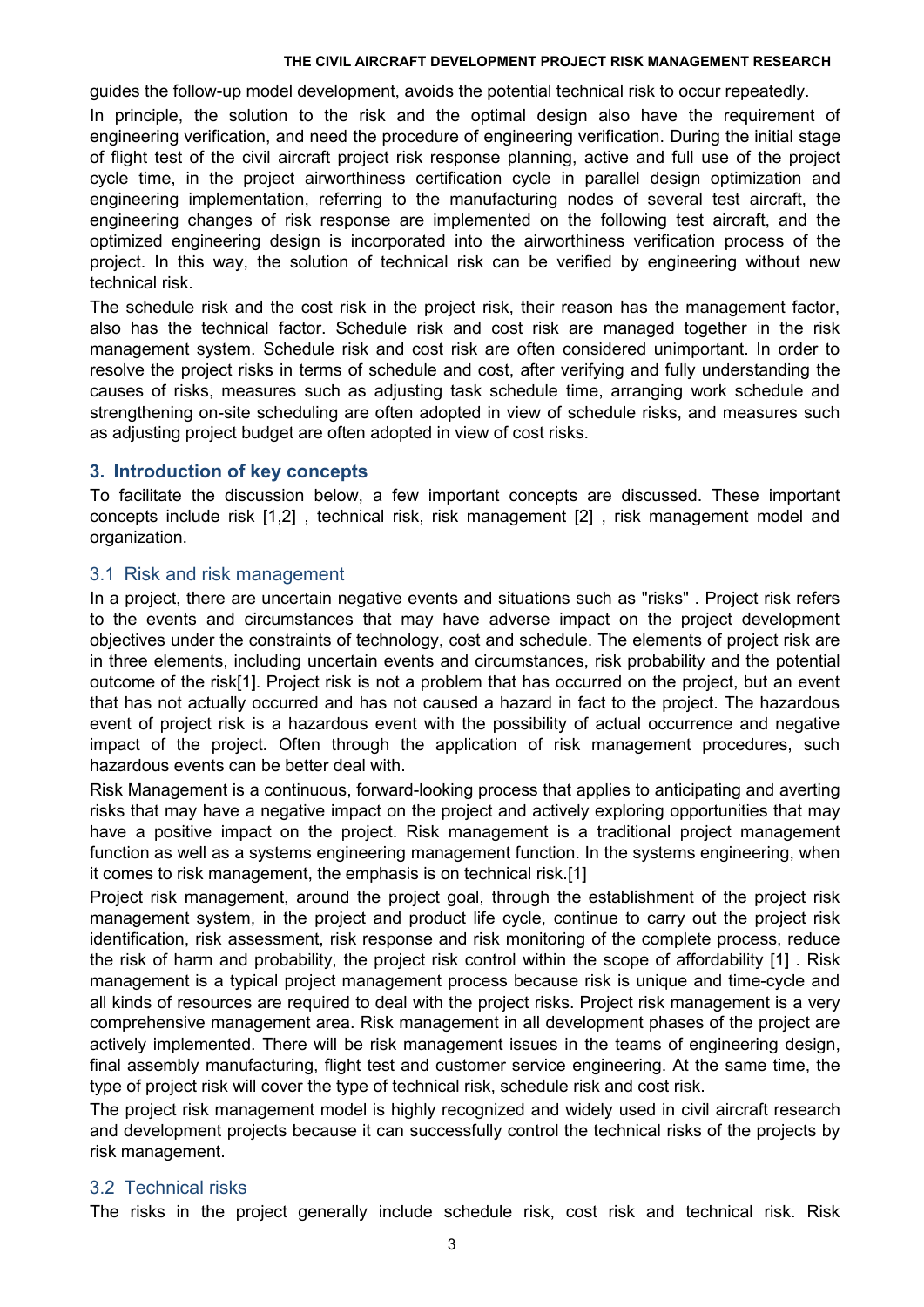guides the follow-up model development, avoids the potential technical risk to occur repeatedly.

In principle, the solution to the risk and the optimal design also have the requirement of engineering verification, and need the procedure of engineering verification. During the initial stage of flight test of the civil aircraft project risk response planning, active and full use of the project cycle time, in the project airworthiness certification cycle in parallel design optimization and engineering implementation, referring to the manufacturing nodes of several test aircraft, the engineering changes of risk response are implemented on the following test aircraft, and the optimized engineering design is incorporated into the airworthiness verification process of the project. In this way, the solution of technical risk can be verified by engineering without new technical risk.

The schedule risk and the cost risk in the project risk, their reason has the management factor, also has the technical factor. Schedule risk and cost risk are managed together in the risk management system. Schedule risk and cost risk are often considered unimportant. In order to resolve the project risks in terms of schedule and cost, after verifying and fully understanding the causes of risks, measures such as adjusting task schedule time, arranging work schedule and strengthening on-site scheduling are often adopted in view of schedule risks, and measures such as adjusting project budget are often adopted in view of cost risks.

# **3. Introduction of key concepts**

To facilitate the discussion below, a few important concepts are discussed.These important concepts include risk [1,2] , technical risk, risk management [2] , risk management model and organization.

### 3.1 Risk and risk management

In a project, there are uncertain negative events and situations such as "risks" . Project risk refers to the events and circumstances that may have adverse impact on the project development objectives under the constraints of technology, cost and schedule. The elements of project risk are in three elements, including uncertain events and circumstances, risk probability and the potential outcome of the risk[1]. Project risk is not a problem that has occurred on the project, but an event that has not actually occurred and has not caused a hazard in fact to the project. The hazardous event of project risk is a hazardous event with the possibility of actual occurrence and negative impact of the project. Often through the application of risk management procedures, such hazardous events can be better deal with.

Risk Management is a continuous, forward-looking process that applies to anticipating and averting risks that may have a negative impact on the project and actively exploring opportunities that may have a positive impact on the project. Risk management is a traditional project management function as well as a systems engineering management function. In the systems engineering, when it comes to risk management, the emphasis is on technical risk.[1]

Project risk management, around the project goal, through the establishment of the project risk management system, in the project and product life cycle, continue to carry out the project risk identification, risk assessment, risk response and risk monitoring of the complete process, reduce the risk of harm and probability, the project risk control within the scope of affordability [1] . Risk management is a typical project management process because risk is unique and time-cycle and all kinds of resources are required to deal with the project risks. Project risk management is a very comprehensive management area. Risk management in all development phases of the project are actively implemented. There will be risk management issues in the teams of engineering design, final assembly manufacturing, flight test and customer service engineering. At the same time, the type of project risk will cover the type of technical risk, schedule risk and cost risk.

The project risk management model is highly recognized and widely used in civil aircraft research and development projects because it can successfully control the technical risks of the projects by risk management.

# 3.2 Technical risks

The risks in the project generally include schedule risk, cost risk and technical risk. Risk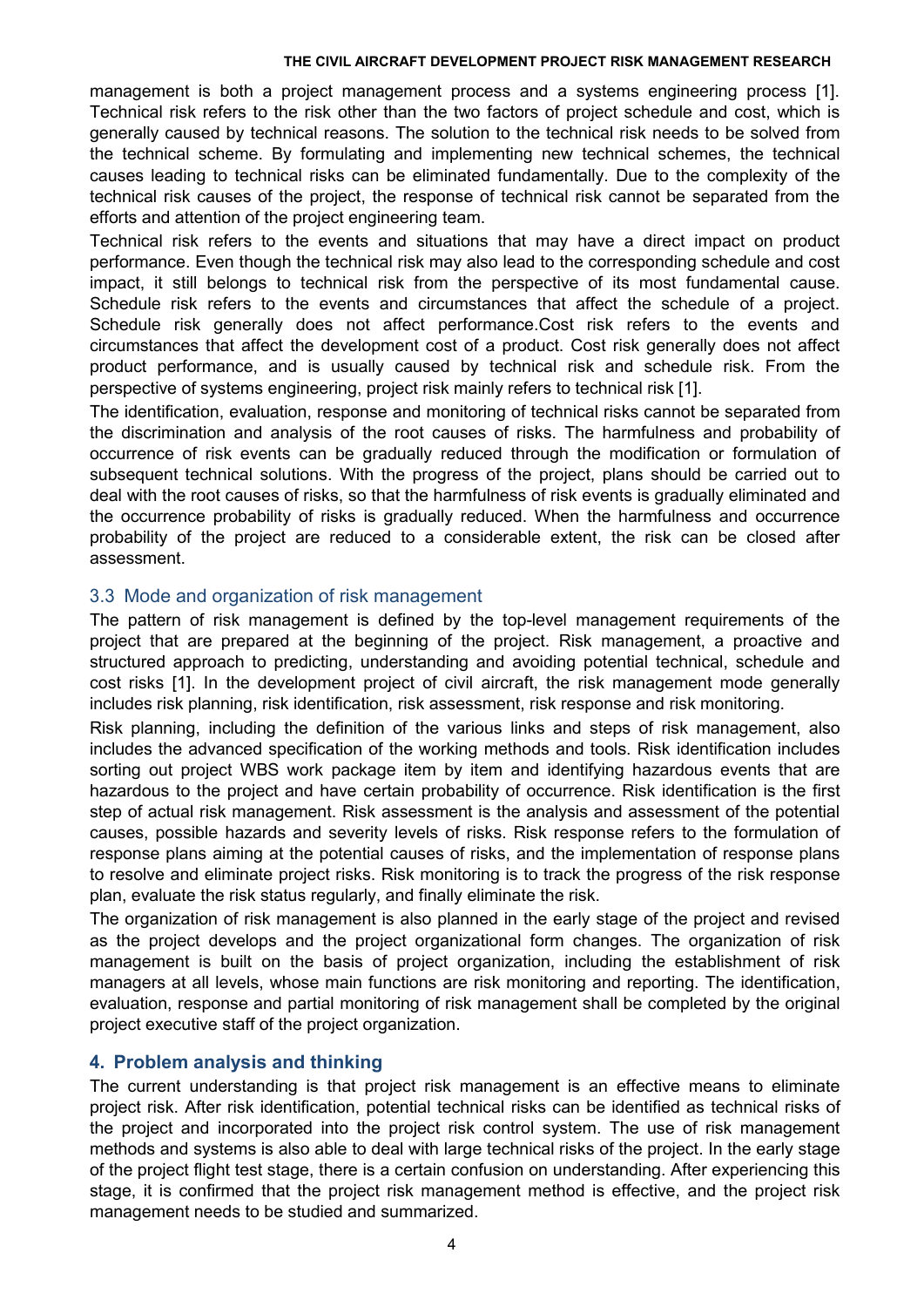management is both a project management process and a systems engineering process [1]. Technical risk refers to the risk other than the two factors of project schedule and cost, which is generally caused by technical reasons. The solution to the technical risk needs to be solved from the technical scheme. By formulating and implementing new technical schemes, the technical causes leading to technical risks can be eliminated fundamentally. Due to the complexity of the technical risk causes of the project, the response of technical risk cannot be separated from the efforts and attention of the project engineering team.

Technical risk refers to the events and situations that may have a direct impact on product performance. Even though the technical risk may also lead to the corresponding schedule and cost impact, it still belongs to technical risk from the perspective of its most fundamental cause. Schedule risk refers to the events and circumstances that affect the schedule of a project. Schedule risk generally does not affect performance.Cost risk refers to the events and circumstances that affect the development cost of a product. Cost risk generally does not affect product performance, and is usually caused by technical risk and schedule risk. From the perspective of systems engineering, project risk mainly refers to technical risk [1].

The identification, evaluation, response and monitoring of technical risks cannot be separated from the discrimination and analysis of the root causes of risks. The harmfulness and probability of occurrence of risk events can be gradually reduced through the modification or formulation of subsequent technical solutions. With the progress of the project, plans should be carried out to deal with the root causes of risks, so that the harmfulness of risk events is gradually eliminated and the occurrence probability of risks is gradually reduced. When the harmfulness and occurrence probability of the project are reduced to a considerable extent, the risk can be closed after assessment.

# 3.3 Mode and organization of risk management

The pattern of risk management is defined by the top-level management requirements of the project that are prepared at the beginning of the project. Risk management, a proactive and structured approach to predicting, understanding and avoiding potential technical, schedule and cost risks [1]. In the development project of civil aircraft, the risk management mode generally includes risk planning, risk identification, risk assessment, risk response and risk monitoring.

Risk planning, including the definition of the various links and steps of risk management, also includes the advanced specification of the working methods and tools. Risk identification includes sorting out project WBS work package item by item and identifying hazardous events that are hazardous to the project and have certain probability of occurrence. Risk identification is the first step of actual risk management. Risk assessment is the analysis and assessment of the potential causes, possible hazards and severity levels of risks. Risk response refers to the formulation of response plans aiming at the potential causes of risks, and the implementation of response plans to resolve and eliminate project risks. Risk monitoring is to track the progress of the risk response plan, evaluate the risk status regularly, and finally eliminate the risk.

The organization of risk management is also planned in the early stage of the project and revised as the project develops and the project organizational form changes. The organization of risk management is built on the basis of project organization, including the establishment of risk managers at all levels, whose main functions are risk monitoring and reporting. The identification, evaluation, response and partial monitoring of risk management shall be completed by the original project executive staff of the project organization.

# **4. Problem analysis and thinking**

The current understanding is that project risk management is an effective means to eliminate project risk. After risk identification, potential technical risks can be identified as technical risks of the project and incorporated into the project risk control system. The use of risk management methods and systems is also able to deal with large technical risks of the project. In the early stage of the project flight test stage, there is a certain confusion on understanding. After experiencing this stage, it is confirmed that the project risk management method is effective, and the project risk management needs to be studied and summarized.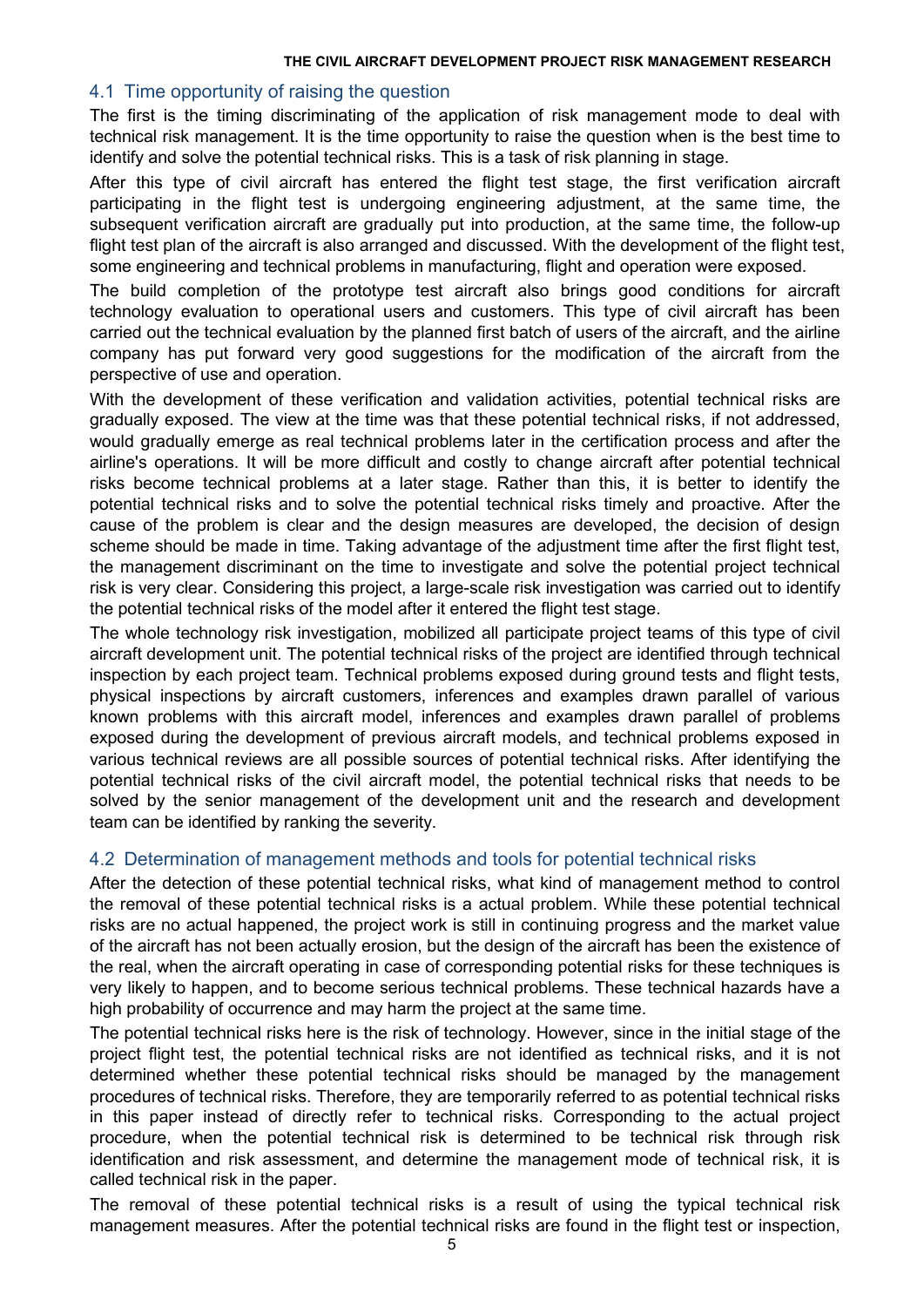# 4.1 Time opportunity of raising the question

The first is the timing discriminating of the application of risk management mode to deal with technical risk management. It is the time opportunity to raise the question when is the best time to identify and solve the potential technical risks. This is a task of risk planning in stage.

After this type of civil aircraft has entered the flight test stage, the first verification aircraft participating in the flight test is undergoing engineering adjustment, at the same time, the subsequent verification aircraft are gradually put into production, at the same time, the follow-up flight test plan of the aircraft is also arranged and discussed. With the development of the flight test, some engineering and technical problems in manufacturing, flight and operation were exposed.

The build completion of the prototype test aircraft also brings good conditions for aircraft technology evaluation to operational users and customers. This type of civil aircraft has been carried out the technical evaluation by the planned first batch of users of the aircraft, and the airline company has put forward very good suggestions for the modification of the aircraft from the perspective of use and operation.

With the development of these verification and validation activities, potential technical risks are gradually exposed. The view at the time was that these potential technical risks, if not addressed, would gradually emerge as real technical problems later in the certification process and after the airline's operations. It will be more difficult and costly to change aircraft after potential technical risks become technical problems at a later stage. Rather than this, it is better to identify the potential technical risks and to solve the potential technical risks timely and proactive. After the cause of the problem is clear and the design measures are developed, the decision of design scheme should be made in time. Taking advantage of the adjustment time after the first flight test, the management discriminant on the time to investigate and solve the potential project technical risk is very clear. Considering this project, a large-scale risk investigation was carried out to identify the potential technical risks of the model after it entered the flight test stage.

The whole technology risk investigation, mobilized all participate project teams of this type of civil aircraft development unit. The potential technical risks of the project are identified through technical inspection by each project team. Technical problems exposed during ground tests and flight tests, physical inspections by aircraft customers, inferences and examples drawn parallel of various known problems with this aircraft model, inferences and examples drawn parallel of problems exposed during the development of previous aircraft models, and technical problems exposed in various technical reviews are all possible sources of potential technical risks. After identifying the potential technical risks of the civil aircraft model, the potential technical risks that needs to be solved by the senior management of the development unit and the research and development team can be identified by ranking the severity.

# 4.2 Determination of management methods and tools for potential technical risks

After the detection of these potential technical risks, what kind of management method to control the removal of these potential technical risks is a actual problem. While these potential technical risks are no actual happened, the project work is still in continuing progress and the market value of the aircraft has not been actually erosion, but the design of the aircraft has been the existence of the real, when the aircraft operating in case of corresponding potential risks for these techniques is very likely to happen, and to become serious technical problems. These technical hazards have a high probability of occurrence and may harm the project at the same time.

The potential technical risks here is the risk of technology. However, since in the initial stage of the project flight test, the potential technical risks are not identified as technical risks, and it is not determined whether these potential technical risks should be managed by the management procedures of technical risks. Therefore, they are temporarily referred to as potential technical risks in this paper instead of directly refer to technical risks. Corresponding to the actual project procedure, when the potential technical risk is determined to be technical risk through risk identification and risk assessment, and determine the management mode of technical risk, it is called technical risk in the paper.

The removal of these potential technical risks is a result of using the typical technical risk management measures. After the potential technical risks are found in the flight test or inspection,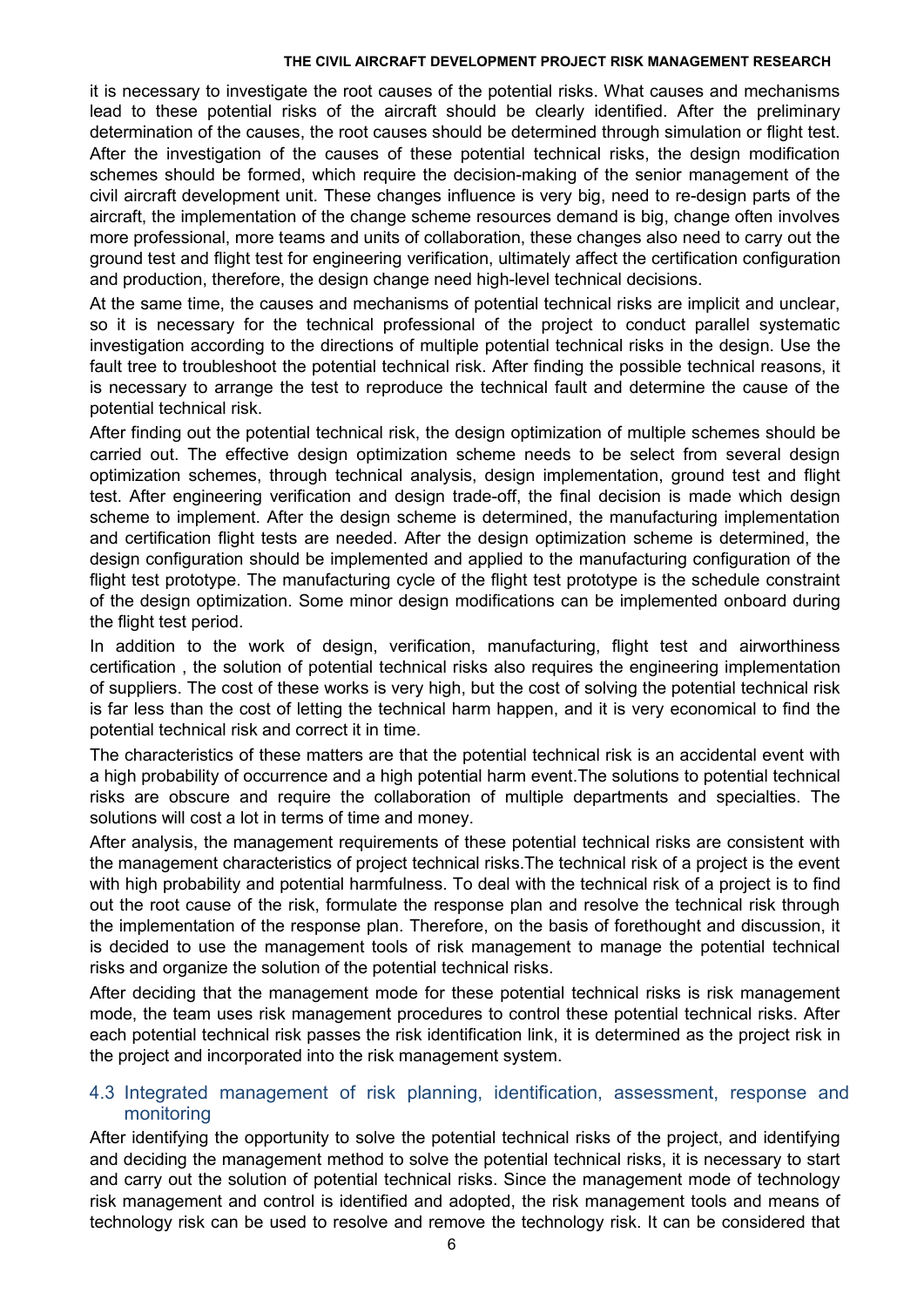it is necessary to investigate the root causes of the potential risks. What causes and mechanisms lead to these potential risks of the aircraft should be clearly identified. After the preliminary determination of the causes, the root causes should be determined through simulation or flight test. After the investigation of the causes of these potential technical risks, the design modification schemes should be formed, which require the decision-making of the senior management of the civil aircraft development unit. These changes influence is very big, need to re-design parts of the aircraft, the implementation of the change scheme resources demand isbig, change often involves more professional, more teams and units of collaboration, these changes also need to carry out the ground test and flight test for engineering verification, ultimately affect the certification configuration and production, therefore, the design change need high-level technical decisions.

At the same time, the causes and mechanisms of potential technical risks are implicit and unclear, so it is necessary for the technical professional of the project to conduct parallel systematic investigation according to the directions of multiple potential technical risks in the design. Use the fault tree to troubleshoot the potential technical risk. After finding the possible technical reasons, it is necessary to arrange the test to reproduce the technical fault and determine the cause of the potential technical risk.

After finding out the potential technical risk, the design optimization of multiple schemes should be carried out. The effective design optimization scheme needs to be select from several design optimization schemes, through technical analysis, design implementation, ground test and flight test. After engineering verification and design trade-off, the final decision is made which design scheme to implement. After the design scheme is determined, the manufacturing implementation and certification flight tests are needed. After the design optimization scheme is determined, the design configuration should be implemented and applied to the manufacturing configuration of the flight test prototype. The manufacturing cycle of the flight test prototype is the schedule constraint of the design optimization. Some minor design modifications can be implemented onboard during the flight test period.

In addition to the work of design, verification, manufacturing, flight test and airworthiness certification , the solution of potential technical risks also requires the engineering implementation of suppliers. The cost of these works is very high, but the cost of solving the potential technical risk is far less than the cost of letting the technical harm happen, and it is very economical to find the potential technical risk and correct it in time.

The characteristics of these matters are that the potential technical risk is an accidental event with a high probability of occurrence and a high potential harm event.The solutions to potential technical risks are obscure and require the collaboration of multiple departments and specialties. The solutions will cost a lot in terms of time and money.

After analysis, the management requirements of these potential technical risks are consistent with the management characteristics of project technical risks.The technical risk of a project is the event with high probability and potential harmfulness. To deal with the technical risk of a project is to find out the root cause of the risk, formulate the response plan and resolve the technical risk through the implementation of the response plan. Therefore, on the basis of forethought and discussion, it is decided to use the management tools of risk management to manage the potential technical risks and organize the solution of the potential technical risks.

After deciding that the management mode for these potential technical risks is risk management mode, the team uses risk management procedures to control these potential technical risks. After each potential technical risk passes the risk identification link, it is determined as the project risk in the project and incorporated into the risk management system.

# 4.3 Integrated management of risk planning, identification, assessment, response and monitoring

After identifying the opportunity to solve the potential technical risks of the project, and identifying and deciding the management method to solve the potential technical risks, it is necessary to start and carry out the solution of potential technical risks. Since the management mode of technology risk management and control is identified and adopted, the risk management tools and means of technology risk can be used to resolve and remove the technology risk. It can be considered that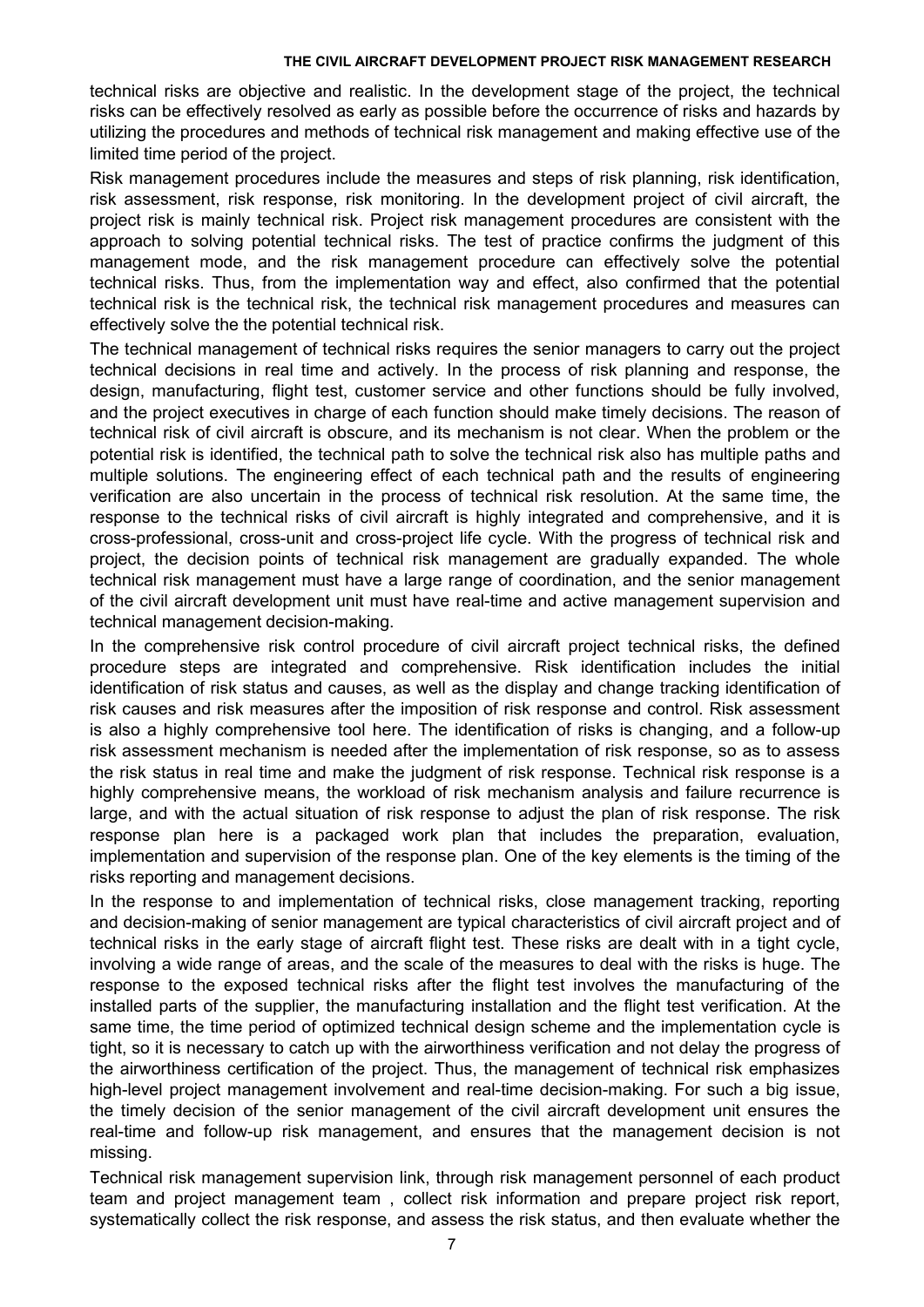technical risks are objective and realistic. In the development stage of the project, the technical risks can be effectively resolved as early as possible before the occurrence of risks and hazards by utilizing the procedures and methods of technical risk management and making effective use of the limited time period of the project.

Risk management procedures include the measures and steps of risk planning, risk identification, risk assessment, risk response, risk monitoring. In the development project of civil aircraft, the project risk is mainly technical risk. Project risk management procedures are consistent with the approach to solving potential technical risks. The test of practice confirms the judgment of this management mode, and the risk management procedure can effectively solve the potential technical risks. Thus, from the implementation way and effect, also confirmed that the potential technical risk is the technical risk, the technical risk management procedures and measures can effectively solve the the potential technical risk.

The technical management of technical risks requires the senior managers to carry out the project technical decisions in real time and actively. In the process of risk planning and response, the design, manufacturing, flight test, customer service and other functions should be fully involved, and the project executives in charge of each function should make timely decisions. The reason of technical risk of civil aircraft is obscure, and its mechanism is not clear. When the problem or the potential risk is identified, the technical path to solve the technical risk also has multiple paths and multiple solutions. The engineering effect of each technical path and the results of engineering verification are also uncertain in the process of technical risk resolution. At the same time, the response to the technical risks of civil aircraft is highly integrated and comprehensive, and it is cross-professional, cross-unit and cross-project life cycle. With the progress of technical risk and project, the decision points of technical risk management are gradually expanded. The whole technical risk management must have a large range of coordination, and the senior management of the civil aircraft development unit must have real-time and active management supervision and technical management decision-making.

In the comprehensive risk control procedure of civil aircraft project technical risks, the defined procedure steps are integrated and comprehensive. Risk identification includes the initial identification of risk status and causes, as well as the display and change tracking identification of risk causes and risk measures after the imposition of risk response and control. Risk assessment is also a highly comprehensive tool here. The identification of risks is changing, and a follow-up risk assessment mechanism is needed after the implementation of risk response, so as to assess the risk status in real time and make the judgment of risk response. Technical risk response is a highly comprehensive means, the workload of risk mechanism analysis and failure recurrence is large, and with the actual situation of risk response to adjust the plan of risk response. The risk response plan here is a packaged work plan that includes the preparation, evaluation, implementation and supervision of the response plan. One of the key elements is the timing of the risks reporting and management decisions.

In the response to and implementation of technical risks, close management tracking, reporting and decision-making of senior management are typical characteristics of civil aircraft project and of technical risks in the early stage of aircraft flight test. These risks are dealt with in a tight cycle, involving a wide range of areas, and the scale of the measures to deal with the risks is huge. The response to the exposed technical risks after the flight test involves the manufacturing of the installed parts of the supplier, the manufacturing installation and the flight test verification. At the same time, the time period of optimized technical design scheme and the implementation cycle is tight, so it is necessary to catch up with the airworthiness verification and not delay the progress of the airworthiness certification of the project. Thus, the management of technical risk emphasizes high-level project management involvement and real-time decision-making. For such a big issue, the timely decision of the senior management of the civil aircraft development unit ensures the real-time and follow-up risk management, and ensures that the management decision is not missing.

Technical risk management supervision link, through risk management personnel of each product team and project management team , collect risk information and prepare project risk report, systematically collect the risk response, and assess the risk status, and then evaluate whether the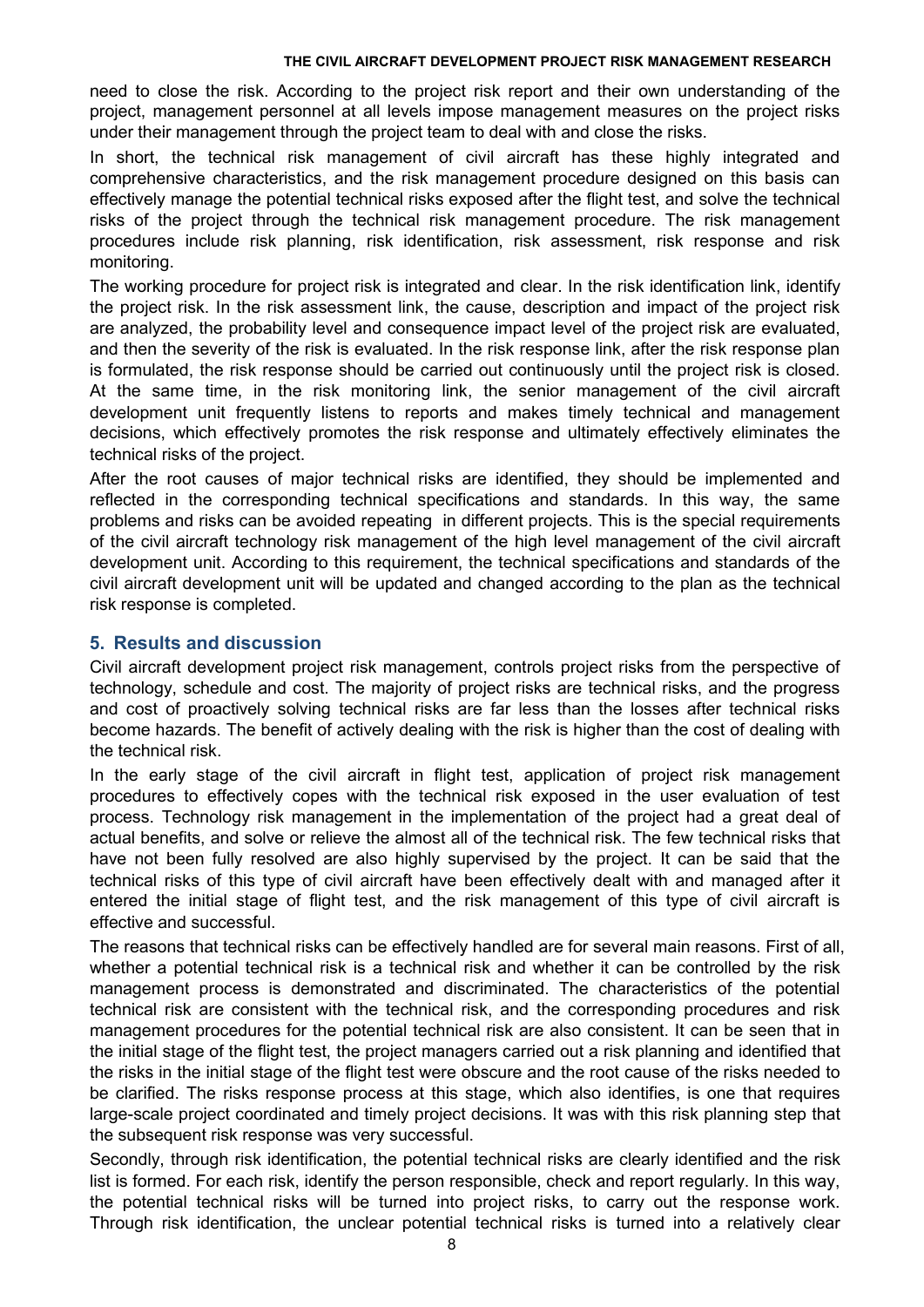need to close the risk. According to the project risk report and their own understanding of the project, management personnel at all levels impose management measures on the project risks under their management through the project team to deal with and close the risks.

In short, the technical risk management of civil aircraft has these highly integrated and comprehensive characteristics, and the risk management procedure designed on this basis can effectively manage the potential technical risks exposed after the flight test, and solve the technical risks of the project through the technical risk management procedure. The risk management procedures include risk planning, risk identification, risk assessment, risk response and risk monitoring.

The working procedure for project risk is integrated and clear. In the risk identification link, identify the project risk. In the risk assessment link, the cause, description and impact of the project risk are analyzed, the probability level and consequence impact level of the project risk are evaluated, and then the severity of the risk is evaluated. In the risk response link, after the risk response plan is formulated, the risk response should be carried out continuously until the project risk is closed. At the same time, in the risk monitoring link, the senior management of the civil aircraft development unit frequently listens to reports and makes timely technical and management decisions, which effectively promotes the risk response and ultimately effectively eliminates the technical risks of the project.

After the root causes of major technical risks are identified, they should be implemented and reflected in the corresponding technical specifications and standards. In this way, the same problems and risks can be avoided repeating in different projects. This is the special requirements of the civil aircraft technology risk management of the high level management of the civil aircraft development unit. According to this requirement, the technical specifications and standards of the civil aircraft development unit will be updated and changed according to the plan as the technical risk response is completed.

# **5. Results and discussion**

Civil aircraft development project risk management, controls project risks from the perspective of technology, schedule and cost. The majority of project risks are technical risks, and the progress and cost of proactively solving technical risks are far less than the losses after technical risks become hazards. The benefit of actively dealing with the risk is higher than the cost of dealing with the technical risk.

In the early stage of the civil aircraft in flight test, application of project risk management procedures to effectively copes with the technical risk exposed in the user evaluation of test process. Technology risk management in the implementation of the project had a great deal of actual benefits, and solve or relieve the almost all of the technical risk. The few technical risks that have not been fully resolved are also highly supervised by the project. It can be said that the technical risks of this type of civil aircraft have been effectively dealt with and managed after it entered the initial stage of flight test, and the risk management of this type of civil aircraft is effective and successful.

The reasons that technical risks can be effectively handled are for several main reasons. First of all, whether a potential technical risk is a technical risk and whether it can be controlled by the risk management process is demonstrated and discriminated. The characteristics of the potential technical risk are consistent with the technical risk, and the corresponding procedures and risk management procedures for the potential technical risk are also consistent. It can be seen that in the initial stage of the flight test, the project managers carried out a risk planning and identified that the risks in the initial stage of the flight test were obscure and the root cause of the risks needed to be clarified. The risks response process at this stage, which also identifies, is one that requires large-scale project coordinated and timely project decisions. It was with this risk planning step that the subsequent risk response was very successful.

Secondly, through risk identification, the potential technical risks are clearly identified and the risk list is formed. For each risk, identify the person responsible, check and report regularly. In this way, the potential technical risks will be turned into project risks, to carry out the response work. Through risk identification, the unclear potential technical risks is turned into a relatively clear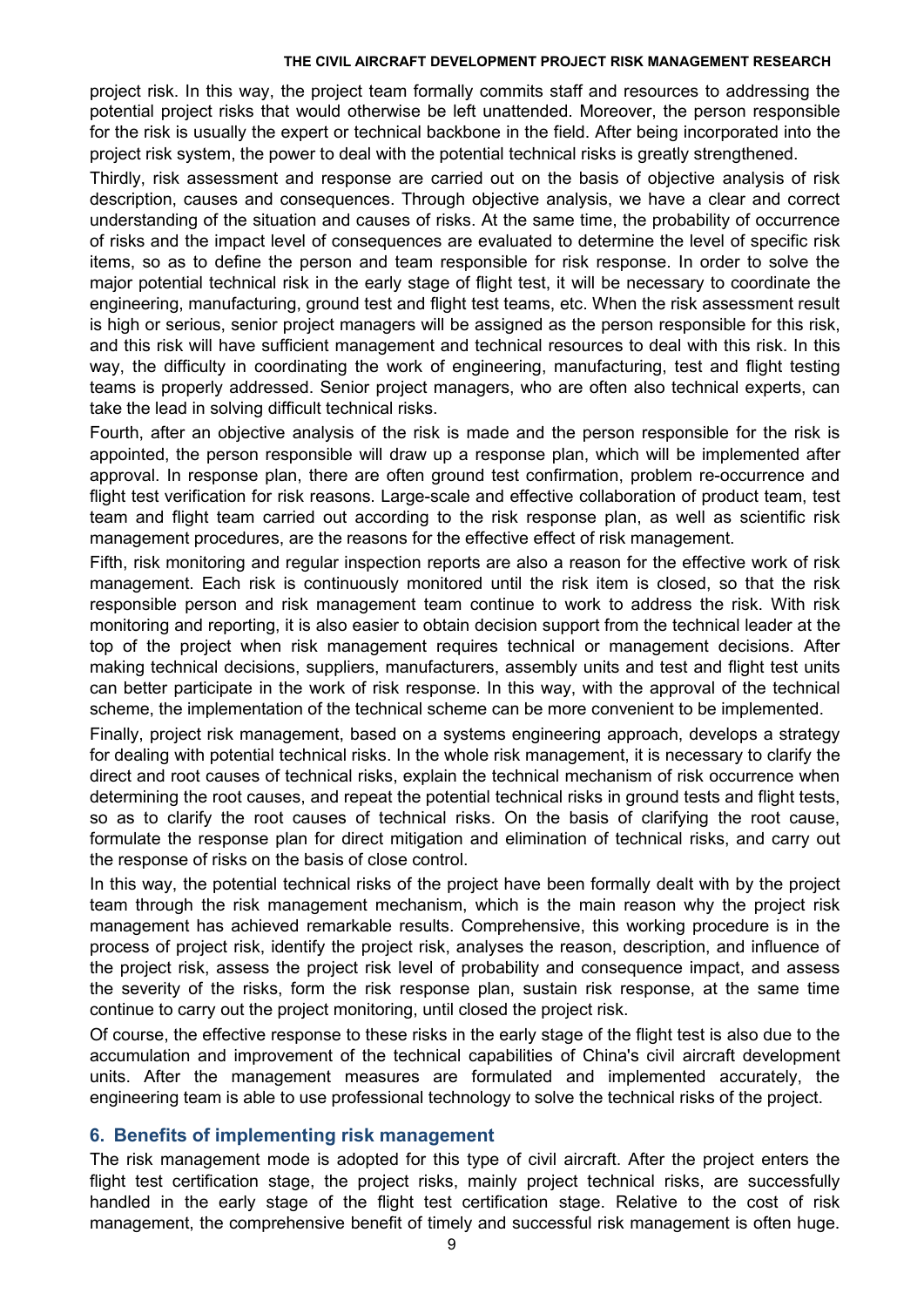project risk. In this way, the project team formally commits staff and resources to addressing the potential project risks that would otherwise be left unattended. Moreover, the person responsible for the risk is usually the expert or technical backbone in the field. After being incorporated into the project risk system, the power to deal with the potential technical risks is greatly strengthened.

Thirdly, risk assessment and response are carried out on the basis of objective analysis of risk description, causes and consequences. Through objective analysis, we have a clear and correct understanding of the situation and causes of risks. At the same time, the probability of occurrence of risks and the impact level of consequences are evaluated to determine the level of specific risk items, so as to define the person and team responsible for risk response. In order to solve the major potential technical risk in the early stage of flight test, it will be necessary to coordinate the engineering, manufacturing, ground test and flight test teams, etc. When the risk assessment result is high or serious, senior project managers will be assigned as the person responsible for this risk, and this risk will have sufficient management and technical resources to deal with this risk. In this way, the difficulty in coordinating the work of engineering, manufacturing, test and flight testing teams is properly addressed. Senior project managers, who are often also technical experts, can take the lead in solving difficult technical risks.

Fourth, after an objective analysis of the risk is made and the person responsible for the risk is appointed, the person responsible will draw up a response plan, which will be implemented after approval. In response plan, there are often ground test confirmation, problem re-occurrence and flight test verification for risk reasons. Large-scale and effective collaboration of product team, test team and flight team carried out according to the risk response plan, as well as scientific risk management procedures, are the reasons for the effective effect of risk management.

Fifth, risk monitoring and regular inspection reports are also a reason for the effective work of risk management. Each risk is continuously monitored until the risk item is closed, so that the risk responsible person and risk management team continue to work to address the risk. With risk monitoring and reporting, it is also easier to obtain decision support from the technical leader at the top of the project when risk management requires technical or management decisions. After making technical decisions, suppliers, manufacturers, assembly units and test and flight test units can better participate in the work of risk response. In this way, with the approval of the technical scheme, the implementation of the technical scheme can be more convenient to be implemented.

Finally, project risk management, based on a systems engineering approach, develops a strategy for dealing with potential technical risks. In the whole risk management, it is necessary to clarify the direct and root causes of technical risks, explain the technical mechanism of risk occurrence when determining the root causes, and repeat the potential technical risks in ground tests and flight tests, so as to clarify the root causes of technical risks. On the basis of clarifying the root cause, formulate the response plan for direct mitigation and elimination of technical risks, and carry out the response of risks on the basis of close control.

In this way, the potential technical risks of the project have been formally dealt with by the project team through the risk management mechanism, which is the main reason why the project risk management has achieved remarkable results. Comprehensive, this working procedure is in the process of project risk, identify the project risk, analyses the reason, description, and influence of the project risk, assess the project risk level of probability and consequence impact, and assess the severity of the risks, form the risk response plan, sustain risk response, at the same time continue to carry out the project monitoring, until closed the project risk.<br>Of course, the effective response to these risks in the early stage of the flight test is also due to the

accumulation and improvement of the technical capabilities of China's civil aircraft development units. After the management measures are formulated and implemented accurately, the engineering team is able to use professional technology to solve the technical risks of the project.

# **6. Benefits of implementing risk management**

The risk management mode is adopted for this type of civil aircraft. After the project enters the flight test certification stage, the project risks, mainly project technical risks, are successfully handled in the early stage of the flight test certification stage. Relative to the cost of risk management, the comprehensive benefit of timely and successful risk management is often huge.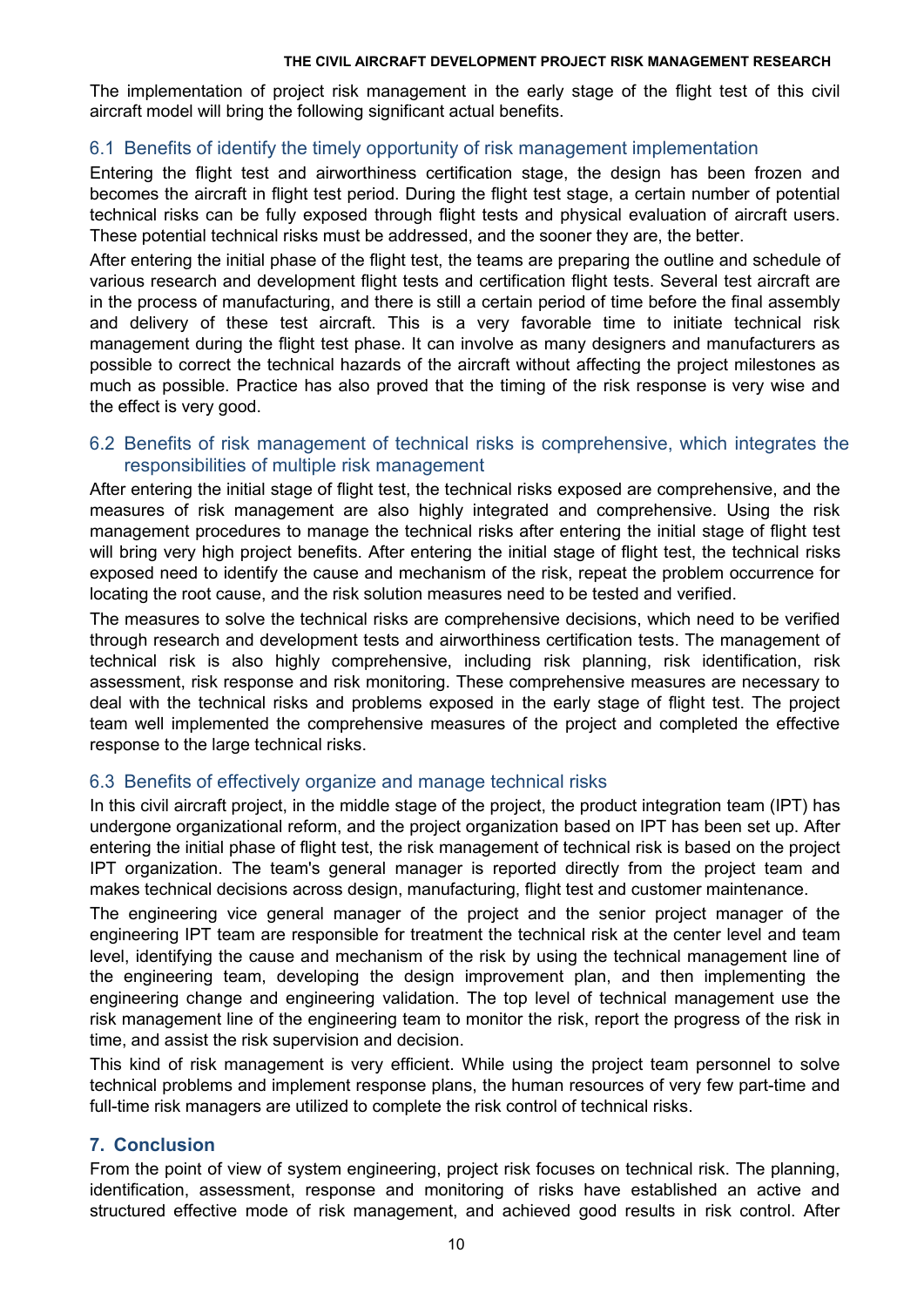The implementation of project risk management in the early stage of the flight test of this civil aircraft model will bring the following significant actual benefits.

# 6.1 Benefits of identify the timely opportunity of risk management implementation

Entering the flight test and airworthiness certification stage, the design has been frozen and becomes the aircraft in flight test period. During the flight test stage, a certain number of potential technical risks can be fully exposed through flight tests and physical evaluation of aircraft users. These potential technical risks must be addressed, and the sooner they are, the better.

After entering the initial phase of the flight test, the teams are preparing the outline and schedule of various research and development flight tests and certification flight tests. Several test aircraft are in the process of manufacturing, and there is still a certain period of time before the final assembly and delivery of these test aircraft. This is a very favorable time to initiate technical risk management during the flight test phase. It can involve as many designers and manufacturers as possible to correct the technical hazards of the aircraft without affecting the project milestones as much as possible. Practice has also proved that the timing of the risk response is very wise and the effect is very good.

# 6.2 Benefits of risk management of technical risks is comprehensive, which integrates the responsibilities of multiple risk management

After entering the initial stage of flight test, the technical risks exposed are comprehensive, and the measures of risk management are also highly integrated and comprehensive. Using the risk management procedures to manage the technical risks after entering the initial stage of flight test will bring very high project benefits. After entering the initial stage of flight test, the technical risks exposed need to identify the cause and mechanism of the risk, repeat the problem occurrence for locating the root cause, and the risk solution measures need to be tested and verified.

The measures to solve the technical risks are comprehensive decisions, which need to be verified through research and development tests and airworthiness certification tests. The management of technical risk is also highly comprehensive, including risk planning, risk identification, risk assessment, risk response and risk monitoring. These comprehensive measures are necessary to deal with the technical risks and problems exposed in the early stage of flight test. The project team well implemented the comprehensive measures of the project and completed the effective response to the large technical risks.

# 6.3 Benefits of effectively organize and manage technical risks

In this civil aircraft project, in the middle stage of the project, the product integration team (IPT) has undergone organizational reform, and the project organization based on IPT has been set up. After entering the initial phase of flight test, the risk management of technical risk is based on the project IPT organization. The team's general manager is reported directly from the project team and makes technical decisions across design, manufacturing, flight test and customer maintenance.

The engineering vice general manager of the project and the senior project manager of the engineering IPT team are responsible for treatment the technical risk at the center level and team level, identifying the cause and mechanism of the risk by using the technical management line of the engineering team, developing the design improvement plan, and then implementing the engineering change and engineering validation. The top level of technical management use the risk management line of the engineering team to monitor the risk, report the progress of the risk in time, and assist the risk supervision and decision.

This kind of risk management is very efficient. While using the project team personnel to solve technical problems and implement response plans, the human resources of very few part-time and full-time risk managers are utilized to complete the risk control of technical risks.

# **7. Conclusion**

From the point of view of system engineering, project risk focuses on technical risk. The planning, identification, assessment, response and monitoring of risks have established an active and structured effective mode of risk management, and achieved good results in risk control. After